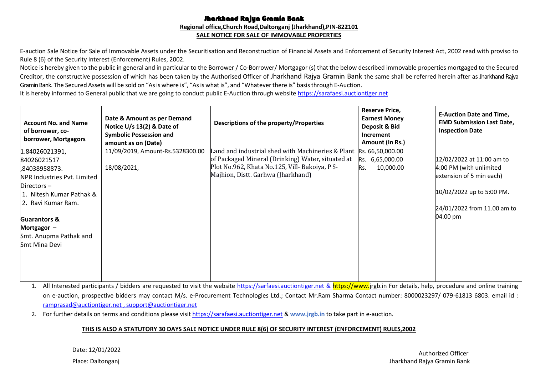#### Jharkhand Rajya Gramin Bank **Regional office,Church Road,Daltonganj (Jharkhand),PIN-822101 SALE NOTICE FOR SALE OF IMMOVABLE PROPERTIES**

E-auction Sale Notice for Sale of Immovable Assets under the Securitisation and Reconstruction of Financial Assets and Enforcement of Security Interest Act, 2002 read with proviso to Rule 8 (6) of the Security Interest (Enforcement) Rules, 2002.

Notice is hereby given to the public in general and in particular to the Borrower / Co-Borrower/ Mortgagor (s) that the below described immovable properties mortgaged to the Secured Creditor, the constructive possession of which has been taken by the Authorised Officer of Jharkhand Rajya Gramin Bank the same shall be referred herein after as Jharkhand Rajya Gramin Bank. The Secured Assets will be sold on "As is where is", "As is what is", and "Whatever there is" basis through E-Auction.

It is hereby informed to General public that we are going to conduct public E-Auction through websit[e https://sarafaesi.auctiontiger.net](https://sarafaesi.auctiontiger.net/)

| <b>Account No. and Name</b><br>of borrower, co-<br>borrower, Mortgagors                                                                                                                                                                     | Date & Amount as per Demand<br>Notice $U/s$ 13(2) & Date of<br><b>Symbolic Possession and</b><br>amount as on (Date) | Descriptions of the property/Properties                                                                                                                                                        | <b>Reserve Price,</b><br><b>Earnest Money</b><br>Deposit & Bid<br>Increment<br>Amount (In Rs.) | <b>E-Auction Date and Time,</b><br><b>EMD Submission Last Date,</b><br><b>Inspection Date</b>                                                            |
|---------------------------------------------------------------------------------------------------------------------------------------------------------------------------------------------------------------------------------------------|----------------------------------------------------------------------------------------------------------------------|------------------------------------------------------------------------------------------------------------------------------------------------------------------------------------------------|------------------------------------------------------------------------------------------------|----------------------------------------------------------------------------------------------------------------------------------------------------------|
| 1.84026021391,<br>84026021517<br>,84038958873.<br>NPR Industries Pvt. Limited<br>Directors-<br>1. Nitesh Kumar Pathak &<br>2. Ravi Kumar Ram.<br><b>Guarantors &amp;</b><br>Mortgagor $-$<br>Smt. Anupma Pathak and<br><b>Smt Mina Devi</b> | 11/09/2019, Amount-Rs.5328300.00<br>18/08/2021,                                                                      | Land and industrial shed with Machineries & Plant<br>of Packaged Mineral (Drinking) Water, situated at<br>Plot No.962, Khata No.125, Vill- Bakoiya, P S-<br>Majhion, Distt. Garhwa (Jharkhand) | Rs. 66,50,000.00<br>Rs. 6,65,000.00<br>Rs.<br>10,000.00                                        | 12/02/2022 at 11:00 am to<br>4:00 PM (with unlimited<br>extension of 5 min each)<br>10/02/2022 up to 5:00 PM.<br>24/01/2022 from 11.00 am to<br>04.00 pm |

1. All Interested participants / bidders are requested to visit the website https://sarfaesi.auctiontiger.net & https://www.jrgb.in For details, help, procedure and online training on e-auction, prospective bidders may contact M/s. e-Procurement Technologies Ltd.; Contact Mr.Ram Sharma Contact number: 8000023297/ 079-61813 6803. email id : ramprasad@auctiontiger.net, [support@auctiontiger.net](mailto:support@auctiontiger.net)

2. For further details on terms and conditions please visi[t https://sarafaesi.auctiontiger.net](https://sarafaesi.auctiontiger.net/) & **www.jrgb.in** to take part in e-auction.

#### **THIS IS ALSO A STATUTORY 30 DAYS SALE NOTICE UNDER RULE 8(6) OF SECURITY INTEREST (ENFORCEMENT) RULES,2002**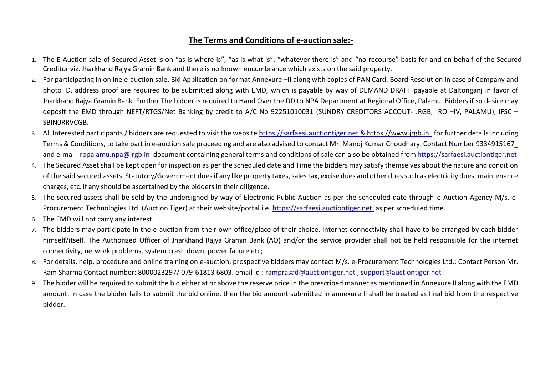# **The Terms and Conditions of e-auction sale:-**

- 1. The E-Auction sale of Secured Asset is on "as is where is", "as is what is", "whatever there is" and "no recourse" basis for and on behalf of the Secured Creditor viz. Jharkhand Rajya Gramin Bank and there is no known encumbrance which exists on the said property.
- 2. For participating in online e-auction sale, Bid Application on format Annexure –II along with copies of PAN Card, Board Resolution in case of Company and photo ID, address proof are required to be submitted along with EMD, which is payable by way of DEMAND DRAFT payable at Daltonganj in favor of Jharkhand Rajya Gramin Bank. Further The bidder is required to Hand Over the DD to NPA Department at Regional Office, Palamu. Bidders if so desire may deposit the EMD through NEFT/RTGS/Net Banking by credit to A/C No 92251010031 (SUNDRY CREDITORS ACCOUT- JRGB, RO –IV, PALAMU), IFSC – SBIN0RRVCGB.
- 3. All Interested participants / bidders are requested to visit the website https://sarfaesi.auctiontiger.net & https:[//w](http://www.aubank.in/bank-auction)ww.jrgb.in for further details including Terms & Conditions, to take part in e-auction sale proceeding and are also advised to contact Mr. Manoj Kumar Choudhary. Contact Number 9334915167\_ and e-mail- [ropalamu.npa@jrgb.in](mailto:ropalamu.npa@jrgb.in) document containing general terms and conditions of sale can also be obtained from [https://sarfaesi.auctiontiger.net](https://janabank.auctiontiger.net/)
- 4. The Secured Asset shall be kept open for inspection as per the scheduled date and Time the bidders may satisfy themselves about the nature and condition of the said secured assets. Statutory/Government duesif any like property taxes,salestax, excise dues and other duessuch as electricity dues, maintenance charges, etc. if any should be ascertained by the bidders in their diligence.
- 5. The secured assets shall be sold by the undersigned by way of Electronic Public Auction as per the scheduled date through e-Auction Agency M/s. e-Procurement Technologies Ltd. (Auction Tiger) at their website/portal i.e. https://sarfaesi.auctiontiger.net as per scheduled time.
- 6. The EMD will not carry any interest.
- 7. The bidders may participate in the e-auction from their own office/place of their choice. Internet connectivity shall have to be arranged by each bidder himself/itself. The Authorized Officer of Jharkhand Rajya Gramin Bank (AO) and/or the service provider shall not be held responsible for the internet connectivity, network problems, system crash down, power failure etc;
- 8. For details, help, procedure and online training on e-auction, prospective bidders may contact M/s. e-Procurement Technologies Ltd.; Contact Person Mr. Ram Sharma Contact number: 8000023297/ 079-61813 6803. email id : [ramprasad@auctiontiger.net ,](mailto:ramprasad@auctiontiger.net) [support@auctiontiger.net](mailto:support@auctiontiger.net)
- 9. The bidder will be required to submit the bid either at or above the reserve price in the prescribed manner as mentioned in Annexure II along with the EMD amount. In case the bidder fails to submit the bid online, then the bid amount submitted in annexure II shall be treated as final bid from the respective bidder.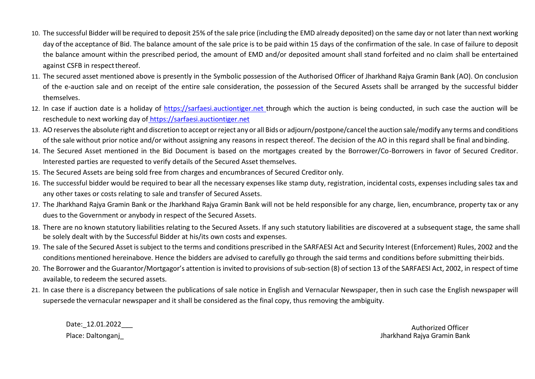- 10. The successful Bidder will be required to deposit 25% of the sale price (including the EMD already deposited) on the same day or not later than next working day of the acceptance of Bid. The balance amount of the sale price is to be paid within 15 days of the confirmation of the sale. In case of failure to deposit the balance amount within the prescribed period, the amount of EMD and/or deposited amount shall stand forfeited and no claim shall be entertained against CSFB in respect thereof.
- 11. The secured asset mentioned above is presently in the Symbolic possession of the Authorised Officer of Jharkhand Rajya Gramin Bank (AO). On conclusion of the e-auction sale and on receipt of the entire sale consideration, the possession of the Secured Assets shall be arranged by the successful bidder themselves.
- 12. In case if auction date is a holiday of https://sarfaesi.auctiontiger.net through which the auction is being conducted, in such case the auction will be reschedule to next working day of [https://sarfaesi.auctiontiger.net](https://janabank.auctiontiger.net/)
- 13. AOreservesthe absolute right and discretion to accept orreject any or all Bids or adjourn/postpone/cancelthe auction sale/modify any terms and conditions of the sale without prior notice and/or without assigning any reasons in respect thereof. The decision of the AO in this regard shall be final andbinding.
- 14. The Secured Asset mentioned in the Bid Document is based on the mortgages created by the Borrower/Co-Borrowers in favor of Secured Creditor. Interested parties are requested to verify details of the Secured Asset themselves.
- 15. The Secured Assets are being sold free from charges and encumbrances of Secured Creditor only.
- 16. The successful bidder would be required to bear all the necessary expenses like stamp duty, registration, incidental costs, expenses including sales tax and any other taxes or costs relating to sale and transfer of Secured Assets.
- 17. The Jharkhand Rajya Gramin Bank or the Jharkhand Rajya Gramin Bank will not be held responsible for any charge, lien, encumbrance, property tax or any dues to the Government or anybody in respect of the Secured Assets.
- 18. There are no known statutory liabilities relating to the Secured Assets. If any such statutory liabilities are discovered at a subsequent stage, the same shall be solely dealt with by the Successful Bidder at his/its own costs and expenses.
- 19. The sale of the Secured Asset issubject to the terms and conditions prescribed in the SARFAESI Act and Security Interest (Enforcement) Rules, 2002 and the conditions mentioned hereinabove. Hence the bidders are advised to carefully go through the said terms and conditions before submitting theirbids.
- 20. The Borrower and the Guarantor/Mortgagor's attention is invited to provisions of sub-section (8) of section 13 of the SARFAESI Act, 2002, in respect of time available, to redeem the secured assets.
- 21. In case there is a discrepancy between the publications of sale notice in English and Vernacular Newspaper, then in such case the English newspaper will supersede the vernacular newspaper and it shall be considered as the final copy, thus removing the ambiguity.

Date:\_12.01.2022\_\_\_ Authorized Officer

Place: Daltonganj\_ Jharkhand Rajya Gramin Bank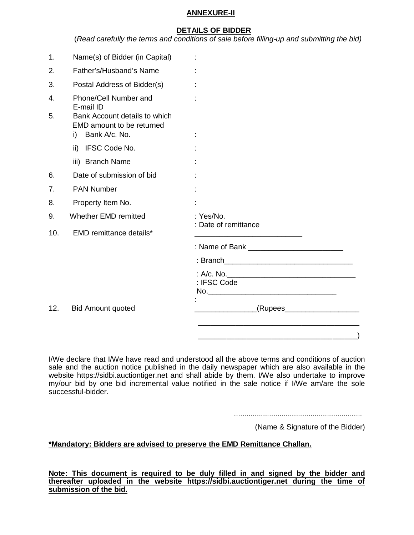#### **ANNEXURE-II**

#### **DETAILS OF BIDDER**

(*Read carefully the terms and conditions of sale before filling-up and submitting the bid)*

| 1.       | Name(s) of Bidder (in Capital)                                                                                          |                              |
|----------|-------------------------------------------------------------------------------------------------------------------------|------------------------------|
| 2.       | Father's/Husband's Name                                                                                                 |                              |
| 3.       | Postal Address of Bidder(s)                                                                                             |                              |
| 4.<br>5. | Phone/Cell Number and<br>E-mail ID<br>Bank Account details to which<br>EMD amount to be returned<br>Bank A/c. No.<br>i) |                              |
|          | ii) IFSC Code No.                                                                                                       |                              |
|          | iii) Branch Name                                                                                                        |                              |
| 6.       | Date of submission of bid                                                                                               |                              |
| 7.       | <b>PAN Number</b>                                                                                                       |                              |
| 8.       | Property Item No.                                                                                                       |                              |
| 9.       | Whether EMD remitted                                                                                                    | : Yes/No.                    |
| 10.      | EMD remittance details*                                                                                                 | : Date of remittance         |
|          |                                                                                                                         |                              |
|          |                                                                                                                         |                              |
|          |                                                                                                                         | : IFSC Code                  |
| 12.      | <b>Bid Amount quoted</b>                                                                                                | _(Rupees____________________ |
|          |                                                                                                                         |                              |
|          |                                                                                                                         |                              |

I/We declare that I/We have read and understood all the above terms and conditions of auction sale and the auction notice published in the daily newspaper which are also available in the website https://sidbi.auctiontiger.net and shall abide by them. I/We also undertake to improve my/our bid by one bid incremental value notified in the sale notice if I/We am/are the sole successful-bidder.

..............................................................

(Name & Signature of the Bidder)

#### **\*Mandatory: Bidders are advised to preserve the EMD Remittance Challan.**

**Note: This document is required to be duly filled in and signed by the bidder and thereafter uploaded in the website https://sidbi.auctiontiger.net during the time of submission of the bid.**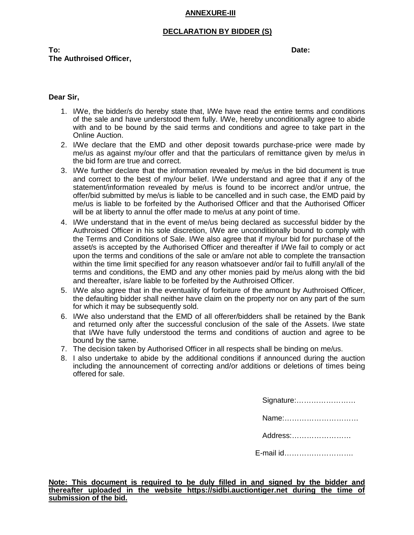# **ANNEXURE-III**

#### **DECLARATION BY BIDDER (S)**

**To: Date: The Authroised Officer,**

#### **Dear Sir,**

- 1. I/We, the bidder/s do hereby state that, I/We have read the entire terms and conditions of the sale and have understood them fully. I/We, hereby unconditionally agree to abide with and to be bound by the said terms and conditions and agree to take part in the Online Auction.
- 2. I/We declare that the EMD and other deposit towards purchase-price were made by me/us as against my/our offer and that the particulars of remittance given by me/us in the bid form are true and correct.
- 3. I/We further declare that the information revealed by me/us in the bid document is true and correct to the best of my/our belief. I/We understand and agree that if any of the statement/information revealed by me/us is found to be incorrect and/or untrue, the offer/bid submitted by me/us is liable to be cancelled and in such case, the EMD paid by me/us is liable to be forfeited by the Authorised Officer and that the Authorised Officer will be at liberty to annul the offer made to me/us at any point of time.
- 4. I/We understand that in the event of me/us being declared as successful bidder by the Authroised Officer in his sole discretion, I/We are unconditionally bound to comply with the Terms and Conditions of Sale. I/We also agree that if my/our bid for purchase of the asset/s is accepted by the Authorised Officer and thereafter if I/We fail to comply or act upon the terms and conditions of the sale or am/are not able to complete the transaction within the time limit specified for any reason whatsoever and/or fail to fulfill any/all of the terms and conditions, the EMD and any other monies paid by me/us along with the bid and thereafter, is/are liable to be forfeited by the Authroised Officer.
- 5. I/We also agree that in the eventuality of forfeiture of the amount by Authroised Officer, the defaulting bidder shall neither have claim on the property nor on any part of the sum for which it may be subsequently sold.
- 6. I/We also understand that the EMD of all offerer/bidders shall be retained by the Bank and returned only after the successful conclusion of the sale of the Assets. I/we state that I/We have fully understood the terms and conditions of auction and agree to be bound by the same.
- 7. The decision taken by Authorised Officer in all respects shall be binding on me/us.
- 8. I also undertake to abide by the additional conditions if announced during the auction including the announcement of correcting and/or additions or deletions of times being offered for sale.

Signature:……………………

Name:…………………………

Address:……………………

E-mail id……………………….

**Note: This document is required to be duly filled in and signed by the bidder and thereafter uploaded in the website https://sidbi.auctiontiger.net during the time of submission of the bid.**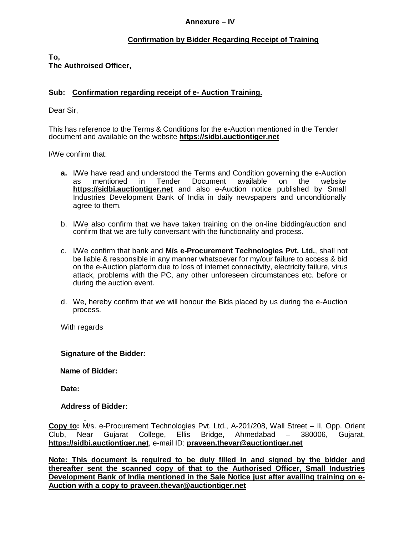#### **Annexure – IV**

# **Confirmation by Bidder Regarding Receipt of Training**

**To, The Authroised Officer,**

# **Sub: Confirmation regarding receipt of e- Auction Training.**

Dear Sir,

This has reference to the Terms & Conditions for the e-Auction mentioned in the Tender document and available on the website **https://sidbi.auctiontiger.net**

I/We confirm that:

- **a.** I/We have read and understood the Terms and Condition governing the e-Auction as mentioned in Tender Document available on the website **https://sidbi.auctiontiger.net** and also e-Auction notice published by Small Industries Development Bank of India in daily newspapers and unconditionally agree to them.
- b. I/We also confirm that we have taken training on the on-line bidding/auction and confirm that we are fully conversant with the functionality and process.
- c. I/We confirm that bank and **M/s e-Procurement Technologies Pvt. Ltd.**, shall not be liable & responsible in any manner whatsoever for my/our failure to access & bid on the e-Auction platform due to loss of internet connectivity, electricity failure, virus attack, problems with the PC, any other unforeseen circumstances etc. before or during the auction event.
- d. We, hereby confirm that we will honour the Bids placed by us during the e-Auction process.

With regards

**Signature of the Bidder:**

**Name of Bidder:**

**Date:**

#### **Address of Bidder:**

**Copy to:** M/s. e-Procurement Technologies Pvt. Ltd., A-201/208, Wall Street – II, Opp. Orient Club, Near Gujarat College, Ellis Bridge, Ahmedabad – 380006, Gujarat, **https://sidbi.auctiontiger.net**, e-mail ID: **praveen.thevar@auctiontiger.net**

**Note: This document is required to be duly filled in and signed by the bidder and thereafter sent the scanned copy of that to the Authorised Officer, Small Industries Development Bank of India mentioned in the Sale Notice just after availing training on e-Auction with a copy to praveen.thevar@auctiontiger.net**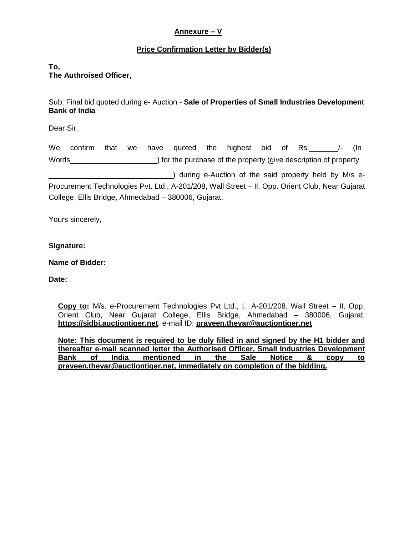# **Annexure – V**

# **Price Confirmation Letter by Bidder(s)**

# **To, The Authroised Officer,**

Sub: Final bid quoted during e- Auction - **Sale of Properties of Small Industries Development Bank of India**

Dear Sir,

We confirm that we have quoted the highest bid of Rs.  $/$ - (In Words\_\_\_\_\_\_\_\_\_\_\_\_\_\_\_\_\_\_\_\_\_) for the purchase of the property (give description of property \_\_\_\_\_\_\_\_\_\_\_\_\_\_\_\_\_\_\_\_\_\_\_\_\_\_\_\_\_\_) during e-Auction of the said property held by M/s e-Procurement Technologies Pvt. Ltd., A-201/208, Wall Street – II, Opp. Orient Club, Near Gujarat College, Ellis Bridge, Ahmedabad – 380006, Gujarat.

Yours sincerely,

## **Signature:**

## **Name of Bidder:**

**Date:**

**Copy to:** M/s. e-Procurement Technologies Pvt Ltd., |., A-201/208, Wall Street – II, Opp. Orient Club, Near Gujarat College, Ellis Bridge, Ahmedabad – 380006, Gujarat, **https://sidbi.auctiontiger.net**, e-mail ID: **praveen.thevar@auctiontiger.net**

**Note: This document is required to be duly filled in and signed by the H1 bidder and thereafter e-mail scanned letter the Authorised Officer, Small Industries Development Bank of India mentioned in the Sale Notice & copy to praveen.thevar@auctiontiger.net, immediately on completion of the bidding.**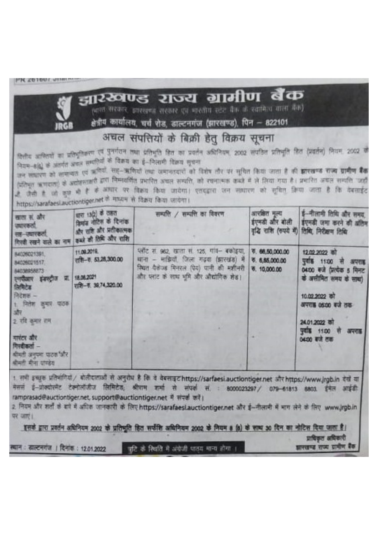| <b>JRGB</b>                                                                                                                                                                                                                               | https://sarafaesi.auctiontiger.net है माध्यम से विक्रय किया जायेगा।                                                  | झारखण्ड राज्य ग्रामीण बैक<br>(भारत सरकार, झारखण्ड सरकार एवं भारतीय स्टेट बैंक के स्वामित्व वाला बैंक)<br>क्षेत्रीय कार्यालय, चर्च शेड, डाल्टनगंज (झारखण्ड), पिन – 822101<br>अचल संपत्तियों के बिक्री हेतु विक्रय सूचना<br>सिलीय आशितयों का प्रतिभूतिकरण एवं पुनर्गरान तथा प्रतिभूति हित का प्रयतेन अधिनियम, 2002 संपठित प्रतिभूति हित (प्रवर्तन) नियम, 2002 व<br>नियम-8(6) के अंतर्गत अचल सम्पतियों के विकय का हं-निलामी विक्रय सुचना<br>उन लासरण को लामन्यत एवं ऋणियों सह-ऋणियों तथा अमानतवारों को विशेष तौर पर मूचित किया जाता है की <b>इतरखण्ड राज्य ग्रामीण बैंक</b><br>(प्रतिभूत ऋणदाता) के अवोहरुराकरी डारा निम्मवर्णित प्रभारित अधल सम्पति, को रचनात्मक कब्जे में ले लिया गया है। प्रभारित अधल सम्पति 'जहाँ<br>है जैसी है जो कुछ भी हैं में <sup>आधार</sup> पर विकार किया जायेगा। एतदड़ारा जन साधारण को सूचित किया जाता है कि वेबसाईट |                                                  |                                                                                                                                                                                                |
|-------------------------------------------------------------------------------------------------------------------------------------------------------------------------------------------------------------------------------------------|----------------------------------------------------------------------------------------------------------------------|----------------------------------------------------------------------------------------------------------------------------------------------------------------------------------------------------------------------------------------------------------------------------------------------------------------------------------------------------------------------------------------------------------------------------------------------------------------------------------------------------------------------------------------------------------------------------------------------------------------------------------------------------------------------------------------------------------------------------------------------------------------------------------------------------------------------------------------------|--------------------------------------------------|------------------------------------------------------------------------------------------------------------------------------------------------------------------------------------------------|
| खाता सं. और<br><i><u>ज्यास्कर्ता</u></i><br>सह-जवारकरा.                                                                                                                                                                                   | ਬਾਰ 13(2) के ਹਲਨ<br>विमांड नोटिस के दिनांक<br>और राति और प्रतीकात्मक<br>गिरवी रखने वाले का नाम करते की तिथि और शांशि | सम्पत्ति / सम्पत्ति का विवरण                                                                                                                                                                                                                                                                                                                                                                                                                                                                                                                                                                                                                                                                                                                                                                                                                 | आरबीत मृत्य                                      | ई-नीलामी तिथि और समय,<br>इंएमकी और बोली   इंएमकी जमा करने की अंतिम<br>वृद्धि राशि (रुपये में) तिबि, निरीक्षण तिबि                                                                              |
| 54026021391<br>84026021517<br>64038958873<br>एणपीआर इंसस्ट्रीज प्रा. 18.06.2021<br><b>लिमिटेड</b><br>निदेशक --<br>1 नितेश क्षमार पाउक<br>淑<br>2 रवि कमार राम<br>गारंटर और<br>गिरदीकता -<br>श्रीमंत्री जनपमा पाठश और<br>बीमती बीना पाण्डेस | 11.09.2019<br>□ 53,28,300.00<br>可用一项 36,74,320.00                                                                    | प्लॉट सं. ९६२. खाता सं. १२५, गाव- बकोइया,<br>बाना - माझियाँ जिला गढ़क (झारखंड) में<br>रिश्वत येत्रोज्ज मिनरल (प्रेय) पानी की मशीनरी<br>और प्लाट के साथ भूमि और ओद्योगिक शेड़।                                                                                                                                                                                                                                                                                                                                                                                                                                                                                                                                                                                                                                                                | 1. 66.50,000.00<br>6, 6, 65, 000.00<br>60,000.00 | 12.02.2022 时<br>पुर्वाह 1100 से अपराह<br>04:00 कपो (प्रत्येक 5 मिनट)<br>के असीमित समय के साथ)<br>10.02.2022 107<br>अपराह 05:00 बजे तक<br>24.01.2022 को<br>पृवांड 1100 से<br>अपरा<br>0400 Rd 88 |
| मैलन<br>पर जाएं।<br>स्थान : डाल्टनगंज । दिनांक : 12.01.2022                                                                                                                                                                               |                                                                                                                      | 1. सभी इच्छक प्रतिभागियां/ बोलीदाताओं से अनुरोध है कि वे वेबसाइट https://sarfaesi.auctiontiger.net और https://www.jrgb.in देखें या<br>ई-प्रोक्योरमेंट टेक्नोलोजीज लिमिटेड; श्रीराम जर्मा से संपर्क सं. : 8000023297 / 079-61813 6803.<br>ramprasad@auctiontiger.net, support@auctiontiger.net में संपर्क करें।<br>2. नियम और शर्ता के बारे में अधिक जानकारी के लिए https://sarafaesi.auctiontiger.net और ई-नीलामी में भाग लेने के लिए www.jrgb.in<br>इसके द्वारा प्रवर्तन अधिनियम 2002 के प्रतिभूति हित सफेंशि अधिनियम 2002 के नियम 8 (6) के साथ 30 दिन का नोटिस दिया जाता है।<br>नुद्दि के रिचति में अंग्रेजी पाठव मान्य होगा ।                                                                                                                                                                                                             |                                                  | इमल आइनी<br>प्रतिकार अधिकारी<br>ब्रास्ताप्य राज्य ग्रामाण बेक                                                                                                                                  |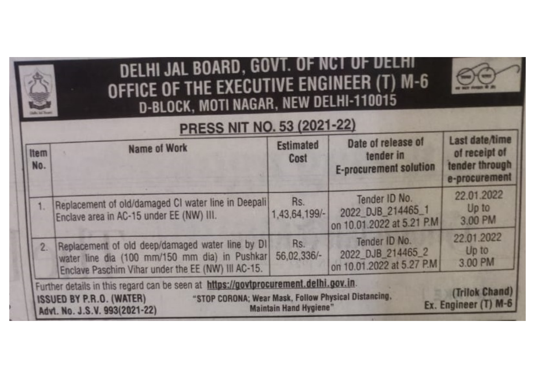| OFFICE OF THE EXECUTIVE ENGINEER (T) M-6<br>D-BLOCK, MOTI NAGAR, NEW DELHI-110015<br><b>PRESS NIT NO. 53 (2021-22)</b> |                                                                                                                                                            |                          |                                                                  |                                                                    |
|------------------------------------------------------------------------------------------------------------------------|------------------------------------------------------------------------------------------------------------------------------------------------------------|--------------------------|------------------------------------------------------------------|--------------------------------------------------------------------|
| Item<br>No.                                                                                                            | <b>Name of Work</b>                                                                                                                                        | <b>Estimated</b><br>Cost | Date of release of<br>tender in<br><b>E-procurement solution</b> | Last date/time<br>of receipt of<br>tender through<br>e-procurement |
|                                                                                                                        | Replacement of old/damaged CI water line in Deepali<br>Enclave area in AC-15 under EE (NW) III.                                                            | Rs.<br>1,43,64,199/-     | Tender ID No.<br>2022 DJB 214465_1<br>on 10.01.2022 at 5.21 P.M. | 22.01.2022<br>Up to<br>3.00 PM                                     |
|                                                                                                                        | 2. Replacement of old deep/damaged water line by DI<br>water line dia (100 mm/150 mm dia) in Pushkar<br>Enclave Paschim Vihar under the EE (NW) III AC-15. | Rs.<br>56,02,336/-       | Tender ID No.<br>2022 DJB 214465 2<br>on 10.01.2022 at 5.27 P.M. | 22.01.2022<br>Up to<br>3.00 PM                                     |